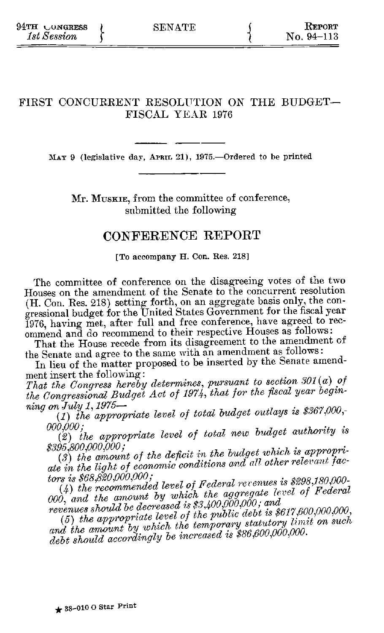# FIRST CONCURRENT RESOLUTION ON THE BUDGET-FISCAL YEAR 1976

MAY 9 (legislative day, APRIL 21), 1975.-- Ordered to be printed

Mr. MUSKIE, from the committee of conference, submitted the following

# **CONFERENCE** REPORT

[To accompany H. Con. Res. **218]**

The committee of conference on the disagreeing votes of the two Houses on the amendment of the Senate to the concurrent resolution (H. Con. Res. 218) setting forth, on an aggregate basis only, the congressional budget for the United States Government for the fiscal year 1976, having met, after full and free conference, have agreed to recommend and do recommend to their respective Houses as follows:

That the House recede from its disagreement to the amendment of the Senate and agree to the same with an amendment as follows:

In lieu of the matter proposed to be inserted by the Senate amendment insert the following:

*That the Congress hereby determines, pursuant to section 301 (a) of the Congressional Budget Act of 1974, that for the fiscal year beginning on July 1,1975-*

*(1) the appropriate level of total budget outlays is \$367,000,-* 000,000;

(2) the *appropriate level of total new budget authority is \$395,800,000,000;*

*(3) the amount of the deficit in the budget which is appropriate in the light of economic conditions ard all other relevant factors is \$68,820,000,000;*

(4) *the recommended level of Federal revr enues is \$298,180,000- 000, and the amount by which the aggregate level of Federal revenues should be decreased is \$ 2400,000,000; and 0 0* 

*(5) the appropriate level of the public debt is \$617,600,000,000, and the amount by which the temporary statutory* limit *on such debt should accordingly be increased is \$86,600,000,000.*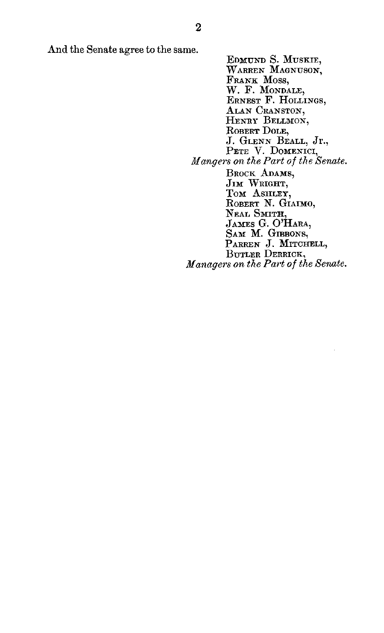And the Senate agree to the same.

**EDMUND S.** MUSKIE, WARREN **MAGNUSON,** FRANK MOSS, W. F. MONDALE, ERNEST F. HOLLINGS, ALAN CRANSTON, HENRY BELLMON, ROBERT DOLE, **J. GLENN** BEALL, Jr., PETE V. DOMENICI, *Mangers on the Part of the Senate.* BROCK **ADAMS,** JIM WRIGHT, Tom ASHLEY, ROBERT N. GIAIMO, Neal Smith,<br>James G. O'Hara,<br>Sam M. Gibbons,<br>Parren J. Mitchell<br>Butler Derrick, *Managers on the Part of the Senate.*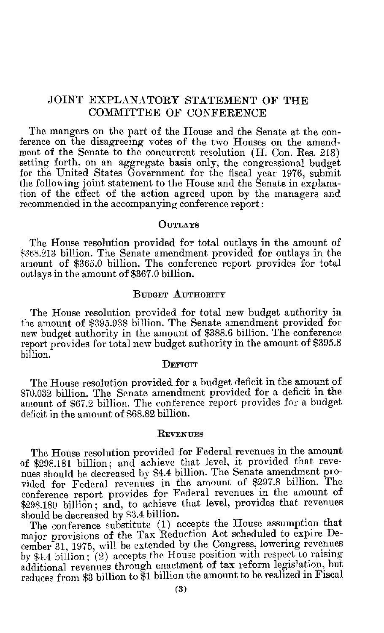# JOINT EXPLANATORY STATEMENT OF THE COMMITTEE OF CONFERENCE

The mangers on the part of the House and the Senate at the conference on the disagreeing votes of the two Houses on the amendment of the Senate to the concurrent resolution (H. Con. Res. 218) setting forth, on an aggregate basis only, the congressional budget for the United States Government for the fiscal year 1976, submit the following joint statement to the House and the Senate in explanation of the effect of the action agreed upon by the managers and recommended in the accompanying conference report:

## **OUTAYS**

The House resolution provided for total outlays in the amount of S368.213 billion. The Senate amendment provided for outlays in the amount of \$365.0 billion. The conference report provides for total outlays in the amount of \$367.0 billion.

#### **BUDGET AUTHORITY**

The House resolution provided for total new budget authority in the amount of \$395.938 billion. The Senate amendment provided for new budget authority in the amount of \$388.6 billion. The conference report provides for total new budget authority in the amount of \$395.8 billion.

#### DEFICIT

The House resolution provided for a budget deficit in the amount of \$70.032 billion. The Senate amendment provided for a deficit in the amount of \$67.2 billion. The conference report provides for a budget deficit in the amount of \$68.82 billion.

#### **REVENTES**

The House resolution provided for Federal revenues in the amount of \$298.181 billion; and achieve that level, it provided that revenues should be decreased **by** \$4.4 billion. The Senate amendment provided for Federal revenues in the amount of \$297.8 billion. The conference report provides for Federal revenues in the amount of **\$298.180** billion; and, to achieve that level, provides that revenues should be decreased by \$3.4 billion.

The conference substitute (1) accepts the House assumption that major provisions of the Tax Reduction Act scheduled to expire December 31, 1975, will be extended by the Congress, lowering revenues by \$4.4 billion; (2) accepts the House position with respect to raising additional revenues through enactment of tax reform legislation, but reduces from \$3 billion to \$1 billion the amount to be realized in Fiscal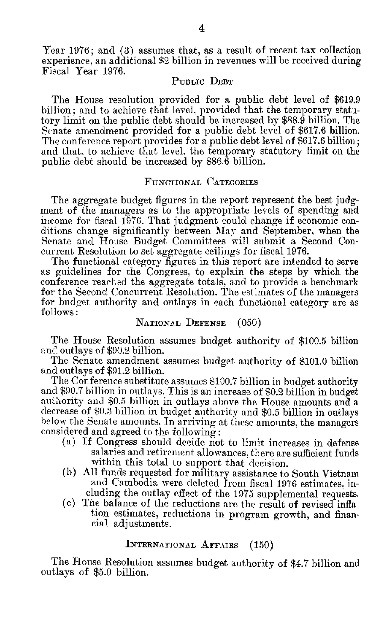Year 1976; and **(3)** assumes that, as a result of recent tax collection experience, an additional \$2 billion in revenues will be received during Fiscal Year 1976.

## PUBLIC DEBT

The House resolution provided for a public debt level of \$619.9 billion; and to achieve that level, provided that the temporary statu- tory limit on the public debt should be increased by \$88.9 billion. The Senate amendment provided for a public debt level of \$617.6 billion. The conference report provides for a public debt level of \$617.6 billion; and that, to achieve that level, the temporary statutory limit on the public debt should be increased by \$86.6 billion.

#### FUNCTIONAL **CATEGORIES**

The aggregate budget figures in the report represent the best **judg-** ment of the managers as to the appropriate levels of spending and income for fiscal 1976. That judgment could change if economic con- ditions change significantly between **May** and September, when the Senate and House Budget Committees will submit a Second Con-<br>current Resolution to set aggregate ceilings for fiscal 1976.<br>The functional category figures in this report are intended to serve

as guidelines for the Congress, to explain the steps by which the conference reached the aggregate totals, and to provide a benchmark for the Second Concurrent Resolution. The estimates of the managers for budget authority and outlays in each functional category are as follows:

# NATIONAL **DEFENSE** (050)

The House Resolution assumes budget authority of \$100.5 billion and outlays of \$90.2 billion.

The Senate amendment assumes budget authority of \$101.0 billion and outlays of \$91.2 billion.

The Conference substitute assumes \$100.7 billion in budget authority and \$90.7 billion in outlays. This is an increase of \$0.2 billion in budget<br>authority and \$0.5 billion in outlays above the House amounts and a decrease of \$0.3 billion in budget authority and \$0.5 billion in outlays<br>below the Senate amounts. In arriving at these amounts, the managers considered and agreed to the following:

- (a) If Congress should decide not to limit increases in defense salaries and retirement allowances, there are sufficient funds within this total to support that decision.
- (b) All funds requested for military assistance to South Vietnam and Cambodia were deleted from fiscal 1976 estimates, including the outlay effect of the 1975 supplemental requests.
- (c) The balance of the reductions are the result of revised inflation estimates, reductions in program growth, and financial adjustments.

#### INTERNATIONAL AFFAIRS (150)

The House Resolution assumes budget authority of \$4.7 billion and outlays of \$5.0 billion.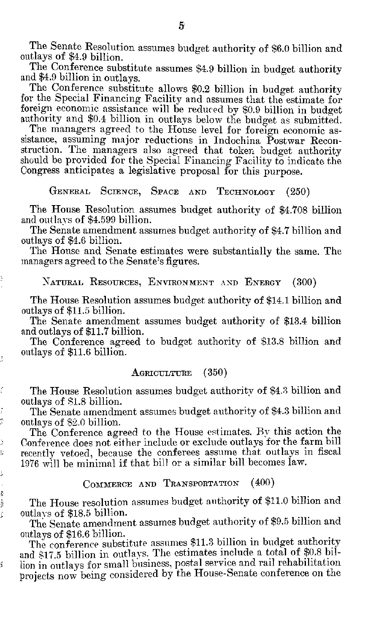The Senate Resolution assumes budget authority of \$6.0 billion and outlays of \$4.9 billion.

The Conference substitute assumes \$4.9 billion in budget authority and \$4.9 billion in outlays.

The Conference substitute allows \$0.2 billion in budget authority for the Special Financing Facility and assumes that the estimate for foreign economic assistance will be reduced by \$0.9 billion in budget authority and \$0.4 billion in outlays below the budget as submitted.

The managers agreed to the House level for foreign economic assistance, assuming major reductions in Indochina Postwar Reconstruction. The managers also agreed that token budget authority should be provided for the Special Financing Facility to indicate the Congress anticipates a legislative proposal for this purpose.

GENERAL **SCIENCE,** SPACE **AND** TECHNOLOGY (250)

The House Resolution assumes budget authority of \$4.708 billion and outlays of \$4.599 billion.

The Senate amendment assumes budget authority of \$4.7 billion and outlays of \$4.6 billion.

The House and Senate estimates were substantially the same. The managers agreed to the Senate's figures.

## NATURAL RESOURCES, ENVIRONMENT AND ENERGY (300)

The House Resolution assumes budget authority of \$14.1 billion and outlays of \$11.5 billion.

The Senate amendment assumes budget authority of \$13.4 billion and outlays of \$11.7 billion.

The Conference agreed to budget authority of \$13.8 billion and outlays of \$11.6 billion.

#### AGRICULTURE (350)

The House Resolution assumes budget authority of \$4.3 billion and outlays of S1.8 billion.

The Senate amendment assumes budget authority of \$4.3 billion and outlays of \$2.0 billion.

þ þ þ ļ,

j ţ

ś

The Conference agreed to the House estimates. By this action the Conference does not either include or exclude outlays for the farm bill recently vetoed, because the conferees assume that outlays in fiscal 1976 will be minimal if that bill or a similar bill becomes law.

## COMMERCE AND TRANSPORTATION (400)

The House resolution assumes budget authority of \$11.0 billion and outlas of \$18.5 billion.

The Senate amendment assumes budget authority of \$9.5 billion and outlays of \$16.6 billion.

The conference substitute assumes \$11.3 billion in budget authority and \$17.5 billion in outlays. The estimates include a total of \$0.8 billion in outlays for small business, postal service and rail rehabilitation projects now being considered by the House-Senate conference on the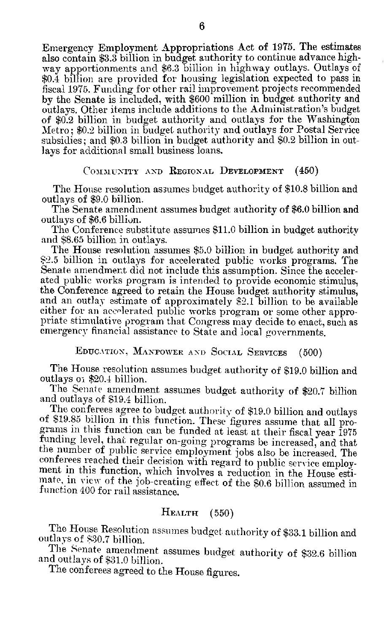Emergency Employment Appropriations Act of 1975. The estimates also contain \$3.3 billion in budget authority to continue advance highway apportionments and \$6.3 billion in highway outlays. Outlays of \$0.4 billion are provided for housing legislation expected to pass in fiscal 1975. Funding for other rail improvement projects recommended by the Senate is included, with \$600 million in budget authority and outlays. Other items include additions to the Administration's budget of \$0.2 billion in budget authority and outlays for the Washington Metro; \$0.2 billion in budget, authority and outlays for Postal Service subsidies; and \$0.3 billion in budget authority and \$0.2 billion in out- lays for additional small business loans.

#### COMMUNITY AND **REGIONAL DEVELOPMENT** (450)

The House resolution assumes budget authority of \$10.8 billion and outlays of \$9.0 billion.

The Senate amendment assumes budget authority of \$6.0 billion and outlays of \$6.6 billion.

The Conference substitute assumes \$11.0 billion in budget authority and \$8.65 billion in outlays.

The House resolution assumes \$5.0 billion in budget authority and \$2.5 billion in outlays for accelerated public works programs. The Senate amendment did not include this assumption. Since the accelerated public works program is intended to provide economic stimulus, the Conference agreed to retain the House budget authority stimulus, and an outlay estimate of approximately **S2.1** billion to be available either for an accelerated public works program or some other appro-<br>priate stimulative program that Congress may decide to enact, such as<br>emergency financial assistance to State and local governments.

**EDUCATION.** MANPOWER **AND** SOCIAL SERVICES (500)

The House resolution assumes budget authority of \$19.0 billion and outlays oi \$20.4 billion.

The Senate amendment assumes budget authority of \$20.7 billion and outlays of \$19.4 billion.

The conferees agree to budget authority of \$19.0 billion and outlays of \$19.85 billion in this function. These figures assume that all programs in this function can be funded at least at their fiscal year 1975 funding level, that regular on-going programs be increased, and that the number of public service employment jobs also be increased. The conferees reached their decision with regard to public service employ- ment in this function, which involves a reduction in the House estimate, in view of the job-creating effect of the \$0.6 billion assumed in function 400 for rail assistance.

# HEALTH (550)

The House Resolution assumes budget authority of \$33.1 billion and outlays of \$30.7 billion.

The Senate amendment assumes budget authority of \$32.6 billion and outlays of \$31.0 billion.

The conferees agreed to the House figures.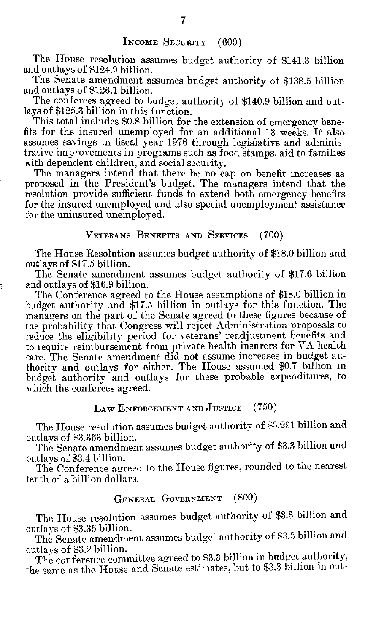The House resolution assumes budget authority of \$141.3 billion and outlays of \$124.9 billion.

The Senate amendment assumes budget authority of \$138.5 billion and outlays of \$126.1 billion.

The conferees agreed to budget authority of \$140.9 billion and outlays of \$125.3 billion in this function.

This total includes \$0.8 billion for the extension of emergency benefits for the insured unemployed for an additional 13 weeks. It also assumes savings in fiscal year 1976 through legislative and administrative improvements in programs such as food stamps, aid to families with dependent children, and social security.

The managers intend that there be no cap on benefit increases as proposed in the President's budget. The managers intend that the resolution provide sufficient funds to extend both emergency benefits for the insured unemployed and also special unemployment assistance for the uninsured unemployed.

#### VETERANS BENEFITS **AND** SERVICES (700)

The House Resolution assumes budget authority of \$18.0 billion and outlays of \$17.5 billion.

The Senate amendment assumes budget authority of \$17.6 billion and outlays of \$16.9 billion.

The Conference agreed to the House assumptions of \$18.0 billion in budget authority and \$17.5 billion in outlays for this function. The managers on the part of the Senate agreed to these figures because of the probability that Congress will reject Administration proposals to reduce the eligibility period for veterans' readjustment benefits and to require reimbursement from private health insurers for VA health care. The Senate amendment did not assume increases in budget authority and outlays for either. The House assumed \$0.7 billion in budget authority and outlays for these probable expenditures, to which the conferees agreed.

LAW ENFORCEMENT **AND** JUSTICE (750)

The House resolution assumes budget authority of \$3.291 billion and outlays of \$3.363 billion.

The Senate amendment assumes budget authority of \$3.3 billion and outlays of \$3.4 billion.

The Conference agreed to the House figures, rounded to the nearest tenth of a billion dollars.

#### GENERAL GOVERNMENT (800)

The House resolution assumes budget authority of \$3.3 billion and outlays of \$3.35 billion.

The Senate amendment assumes budget authority of \$3.3 billion and outlays of \$3.2 billion.

The conference committee agreed to \$3.3 billion in budget authority, the same as the House and Senate estimates, but to \$3.3 billion in out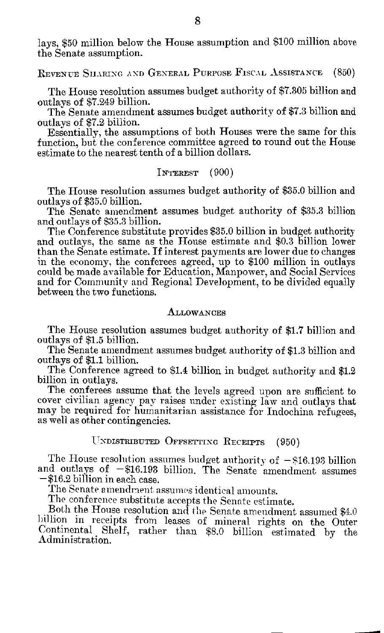lays, \$50 million below the House assumption and \$100 million above the Senate assumption.

REVENUE SHARING **AND** GENERAL PURPosE FiSCAL ASSISTANCE (850)

The House resolution assumes budget authority of \$7.305 billion and outlays of \$7.249 billion.

The Senate amendment assumes budget authority of \$7.3 billion and outlays of \$7.2 billion.

Essentially, the assumptions of both Houses were the same for this function, but the conference committee agreed to round out the House estimate to the nearest tenth of a billion dollars.

#### INTEREST **(900)**

The House resolution assumes budget authority of \$35.0 billion and outlays of \$35.0 billion.

The Senatc amendment assumes budget authority of \$35.3 billion and outlays of \$35.3 billion.

The Conference substitute provides \$35.0 billion in budget authority and outlays, the same as the House estimate and \$0.3 billion lower than the Senate estimate. If interest payments are lower due to changes in the economy, the conferees agreed, up to **\$100** million in outlays could be made available for Education, Manpower, and Social Services and for Community and Regional Development, to be divided equally between the two functions.

#### **ALLOWANCES**

The House resolution assumes budget authority of \$1.7 billion and outlays of \$1.5 billion.

The Senate amendment assumes budget authority of \$1.3 billion and outlays of \$1.1 billion.

The Conference agreed to \$1.4 billion in budget authority and \$1.2 billion in outlays.

The conferees assume that the levels agreed upon are sufficient to cover civilian agency pay raises under existing law and outlays that may be required for humanitarian assistance for Indochina refugees, as well as other contingencies.

## UNDISTRIBUTED OFFSETTING RECEIPTS (950)

The House resolution assumes budget authority of **-\$16.193** billion and outlays of  $-\$16.193$  billion. The Senate amendment assumes  $-\$16.2$  billion in each case.

The Senate amendment assumes identical amounts.

The conference substitute accepts the Senate estimate.

Both the House resolution and the Senate amendment assumed \$4.0 billion in receipts from leases of mineral rights on the Outer Continental Shelf, rather than \$8.0 billion estimated by the Administration.